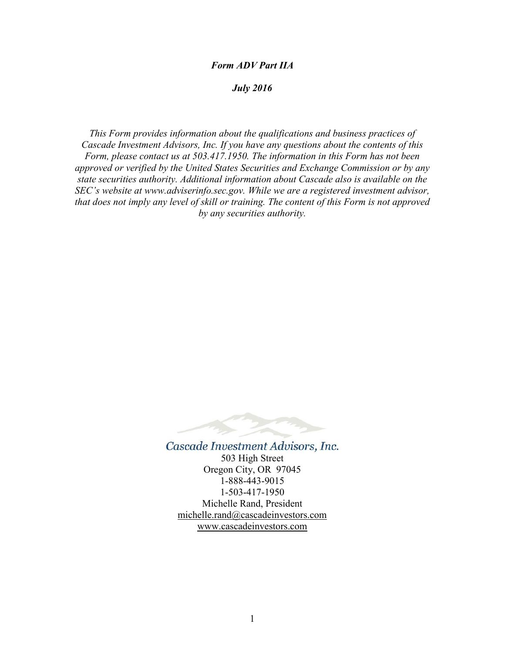#### *Form ADV Part IIA*

# *July 2016*

*This Form provides information about the qualifications and business practices of Cascade Investment Advisors, Inc. If you have any questions about the contents of this Form, please contact us at 503.417.1950. The information in this Form has not been approved or verified by the United States Securities and Exchange Commission or by any state securities authority. Additional information about Cascade also is available on the SEC's website at www.adviserinfo.sec.gov. While we are a registered investment advisor, that does not imply any level of skill or training. The content of this Form is not approved by any securities authority.*



Cascade Investment Advisors, Inc. 503 High Street Oregon City, OR 97045 1-888-443-9015 1-503-417-1950 Michelle Rand, President [michelle.rand@cascadeinvestors.com](mailto:mdicus@att.net) www.cascadeinvestors.com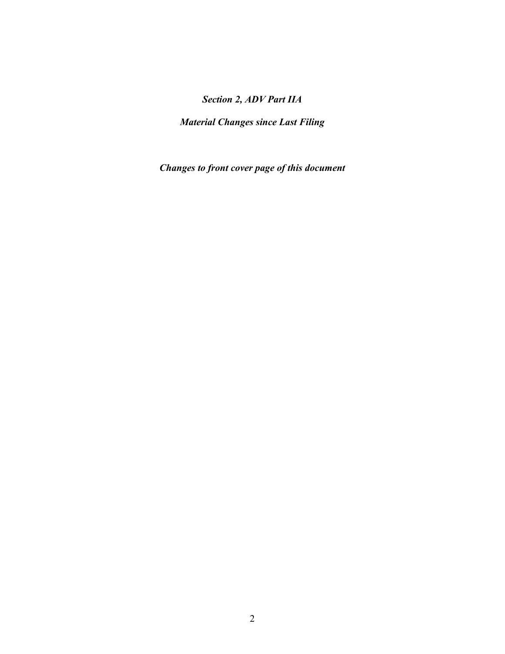# *Section 2, ADV Part IIA*

*Material Changes since Last Filing*

*Changes to front cover page of this document*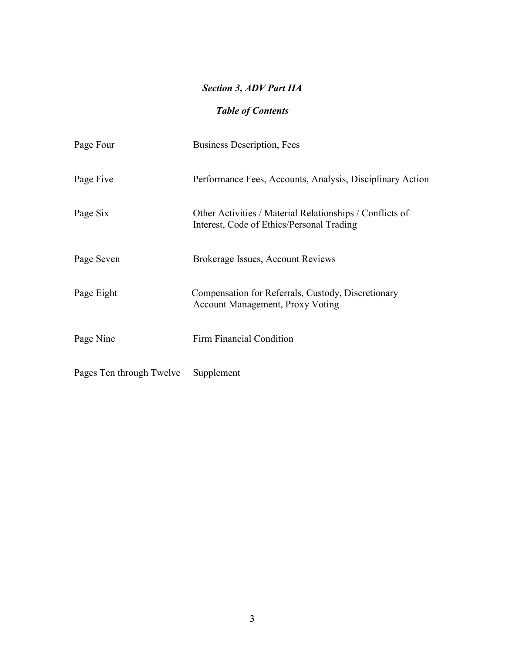# *Section 3, ADV Part IIA*

# *Table of Contents*

| Page Four                | <b>Business Description, Fees</b>                                                                     |
|--------------------------|-------------------------------------------------------------------------------------------------------|
| Page Five                | Performance Fees, Accounts, Analysis, Disciplinary Action                                             |
| Page Six                 | Other Activities / Material Relationships / Conflicts of<br>Interest, Code of Ethics/Personal Trading |
| Page Seven               | Brokerage Issues, Account Reviews                                                                     |
| Page Eight               | Compensation for Referrals, Custody, Discretionary<br><b>Account Management, Proxy Voting</b>         |
| Page Nine                | <b>Firm Financial Condition</b>                                                                       |
| Pages Ten through Twelve | Supplement                                                                                            |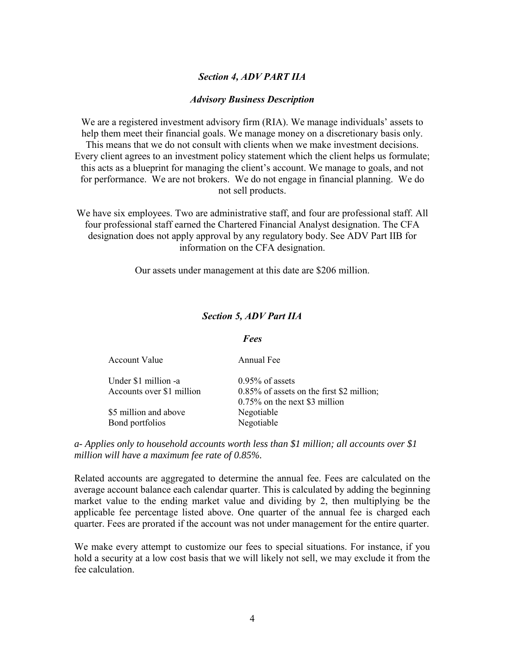### *Section 4, ADV PART IIA*

#### *Advisory Business Description*

We are a registered investment advisory firm (RIA). We manage individuals' assets to help them meet their financial goals. We manage money on a discretionary basis only. This means that we do not consult with clients when we make investment decisions. Every client agrees to an investment policy statement which the client helps us formulate; this acts as a blueprint for managing the client's account. We manage to goals, and not for performance. We are not brokers. We do not engage in financial planning. We do not sell products.

We have six employees. Two are administrative staff, and four are professional staff. All four professional staff earned the Chartered Financial Analyst designation. The CFA designation does not apply approval by any regulatory body. See ADV Part IIB for information on the CFA designation.

Our assets under management at this date are \$206 million.

#### *Section 5, ADV Part IIA*

#### *Fees*

| Account Value                                     | Annual Fee                                                                                             |
|---------------------------------------------------|--------------------------------------------------------------------------------------------------------|
| Under \$1 million -a<br>Accounts over \$1 million | $0.95\%$ of assets<br>$0.85\%$ of assets on the first \$2 million;<br>$0.75\%$ on the next \$3 million |
| \$5 million and above<br>Bond portfolios          | Negotiable<br>Negotiable                                                                               |

*a- Applies only to household accounts worth less than \$1 million; all accounts over \$1 million will have a maximum fee rate of 0.85%.* 

Related accounts are aggregated to determine the annual fee. Fees are calculated on the average account balance each calendar quarter. This is calculated by adding the beginning market value to the ending market value and dividing by 2, then multiplying be the applicable fee percentage listed above. One quarter of the annual fee is charged each quarter. Fees are prorated if the account was not under management for the entire quarter.

We make every attempt to customize our fees to special situations. For instance, if you hold a security at a low cost basis that we will likely not sell, we may exclude it from the fee calculation.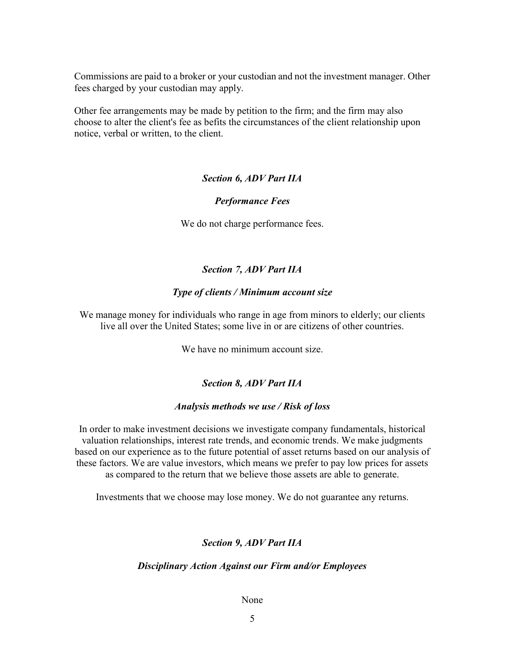Commissions are paid to a broker or your custodian and not the investment manager. Other fees charged by your custodian may apply.

Other fee arrangements may be made by petition to the firm; and the firm may also choose to alter the client's fee as befits the circumstances of the client relationship upon notice, verbal or written, to the client.

### *Section 6, ADV Part IIA*

### *Performance Fees*

We do not charge performance fees.

### *Section 7, ADV Part IIA*

#### *Type of clients / Minimum account size*

We manage money for individuals who range in age from minors to elderly; our clients live all over the United States; some live in or are citizens of other countries.

We have no minimum account size.

## *Section 8, ADV Part IIA*

#### *Analysis methods we use / Risk of loss*

In order to make investment decisions we investigate company fundamentals, historical valuation relationships, interest rate trends, and economic trends. We make judgments based on our experience as to the future potential of asset returns based on our analysis of these factors. We are value investors, which means we prefer to pay low prices for assets as compared to the return that we believe those assets are able to generate.

Investments that we choose may lose money. We do not guarantee any returns.

#### *Section 9, ADV Part IIA*

#### *Disciplinary Action Against our Firm and/or Employees*

#### None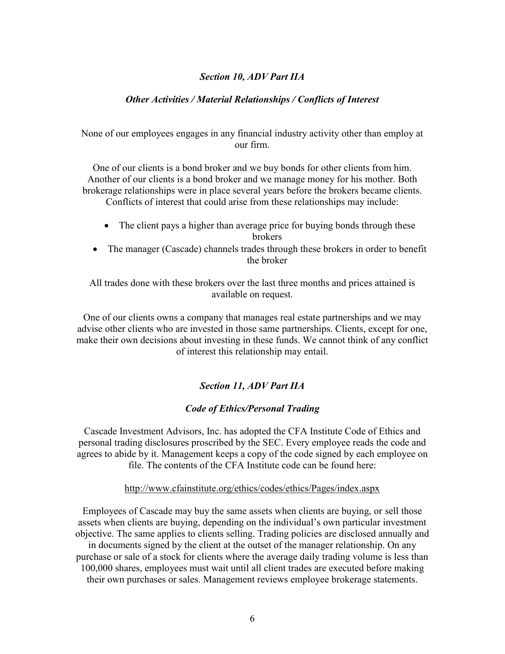## *Section 10, ADV Part IIA*

### *Other Activities / Material Relationships / Conflicts of Interest*

None of our employees engages in any financial industry activity other than employ at our firm.

One of our clients is a bond broker and we buy bonds for other clients from him. Another of our clients is a bond broker and we manage money for his mother. Both brokerage relationships were in place several years before the brokers became clients. Conflicts of interest that could arise from these relationships may include:

- The client pays a higher than average price for buying bonds through these brokers
- The manager (Cascade) channels trades through these brokers in order to benefit the broker

All trades done with these brokers over the last three months and prices attained is available on request.

One of our clients owns a company that manages real estate partnerships and we may advise other clients who are invested in those same partnerships. Clients, except for one, make their own decisions about investing in these funds. We cannot think of any conflict of interest this relationship may entail.

### *Section 11, ADV Part IIA*

#### *Code of Ethics/Personal Trading*

Cascade Investment Advisors, Inc. has adopted the CFA Institute Code of Ethics and personal trading disclosures proscribed by the SEC. Every employee reads the code and agrees to abide by it. Management keeps a copy of the code signed by each employee on file. The contents of the CFA Institute code can be found here:

#### http://www.cfainstitute.org/ethics/codes/ethics/Pages/index.aspx

Employees of Cascade may buy the same assets when clients are buying, or sell those assets when clients are buying, depending on the individual's own particular investment objective. The same applies to clients selling. Trading policies are disclosed annually and in documents signed by the client at the outset of the manager relationship. On any purchase or sale of a stock for clients where the average daily trading volume is less than 100,000 shares, employees must wait until all client trades are executed before making their own purchases or sales. Management reviews employee brokerage statements.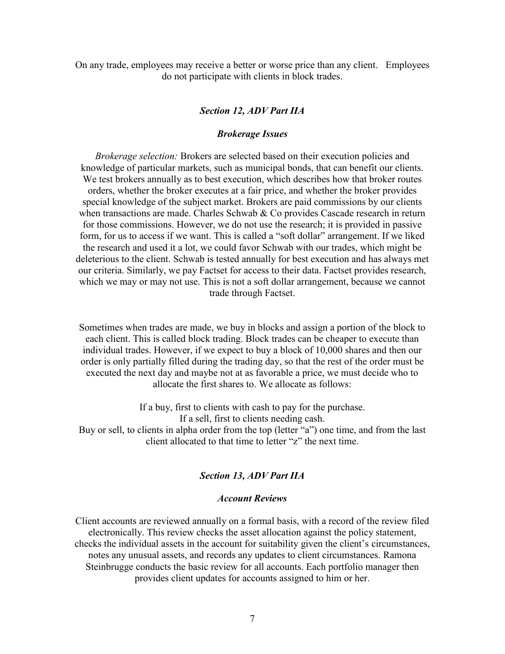On any trade, employees may receive a better or worse price than any client. Employees do not participate with clients in block trades.

# *Section 12, ADV Part IIA*

#### *Brokerage Issues*

*Brokerage selection:* Brokers are selected based on their execution policies and knowledge of particular markets, such as municipal bonds, that can benefit our clients. We test brokers annually as to best execution, which describes how that broker routes orders, whether the broker executes at a fair price, and whether the broker provides special knowledge of the subject market. Brokers are paid commissions by our clients when transactions are made. Charles Schwab  $&$  Co provides Cascade research in return for those commissions. However, we do not use the research; it is provided in passive form, for us to access if we want. This is called a "soft dollar" arrangement. If we liked the research and used it a lot, we could favor Schwab with our trades, which might be deleterious to the client. Schwab is tested annually for best execution and has always met our criteria. Similarly, we pay Factset for access to their data. Factset provides research, which we may or may not use. This is not a soft dollar arrangement, because we cannot trade through Factset.

Sometimes when trades are made, we buy in blocks and assign a portion of the block to each client. This is called block trading. Block trades can be cheaper to execute than individual trades. However, if we expect to buy a block of 10,000 shares and then our order is only partially filled during the trading day, so that the rest of the order must be executed the next day and maybe not at as favorable a price, we must decide who to allocate the first shares to. We allocate as follows:

If a buy, first to clients with cash to pay for the purchase. If a sell, first to clients needing cash. Buy or sell, to clients in alpha order from the top (letter "a") one time, and from the last

client allocated to that time to letter "z" the next time.

#### *Section 13, ADV Part IIA*

#### *Account Reviews*

Client accounts are reviewed annually on a formal basis, with a record of the review filed electronically. This review checks the asset allocation against the policy statement, checks the individual assets in the account for suitability given the client's circumstances, notes any unusual assets, and records any updates to client circumstances. Ramona Steinbrugge conducts the basic review for all accounts. Each portfolio manager then provides client updates for accounts assigned to him or her.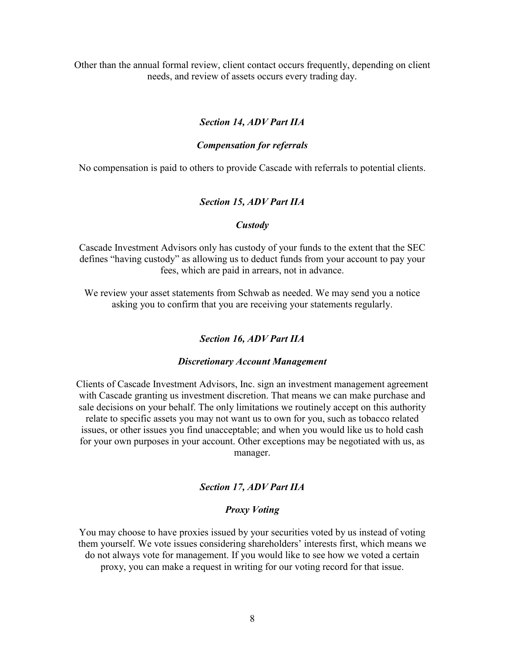Other than the annual formal review, client contact occurs frequently, depending on client needs, and review of assets occurs every trading day.

### *Section 14, ADV Part IIA*

#### *Compensation for referrals*

No compensation is paid to others to provide Cascade with referrals to potential clients.

#### *Section 15, ADV Part IIA*

#### *Custody*

Cascade Investment Advisors only has custody of your funds to the extent that the SEC defines "having custody" as allowing us to deduct funds from your account to pay your fees, which are paid in arrears, not in advance.

We review your asset statements from Schwab as needed. We may send you a notice asking you to confirm that you are receiving your statements regularly.

#### *Section 16, ADV Part IIA*

#### *Discretionary Account Management*

Clients of Cascade Investment Advisors, Inc. sign an investment management agreement with Cascade granting us investment discretion. That means we can make purchase and sale decisions on your behalf. The only limitations we routinely accept on this authority relate to specific assets you may not want us to own for you, such as tobacco related issues, or other issues you find unacceptable; and when you would like us to hold cash for your own purposes in your account. Other exceptions may be negotiated with us, as manager.

# *Section 17, ADV Part IIA*

### *Proxy Voting*

You may choose to have proxies issued by your securities voted by us instead of voting them yourself. We vote issues considering shareholders' interests first, which means we do not always vote for management. If you would like to see how we voted a certain proxy, you can make a request in writing for our voting record for that issue.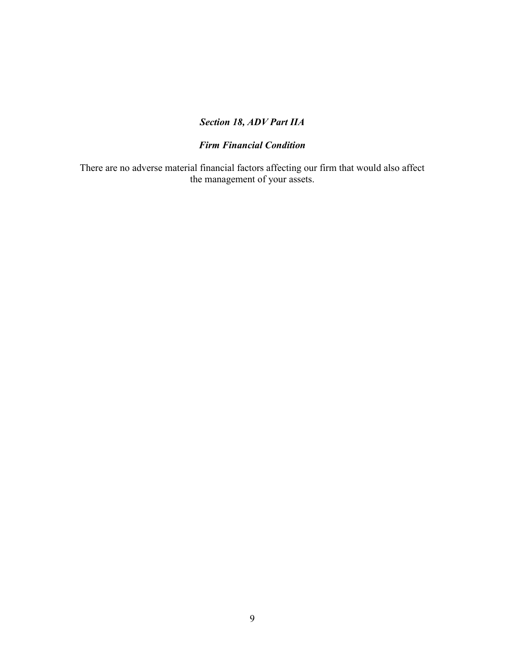# *Section 18, ADV Part IIA*

# *Firm Financial Condition*

There are no adverse material financial factors affecting our firm that would also affect the management of your assets.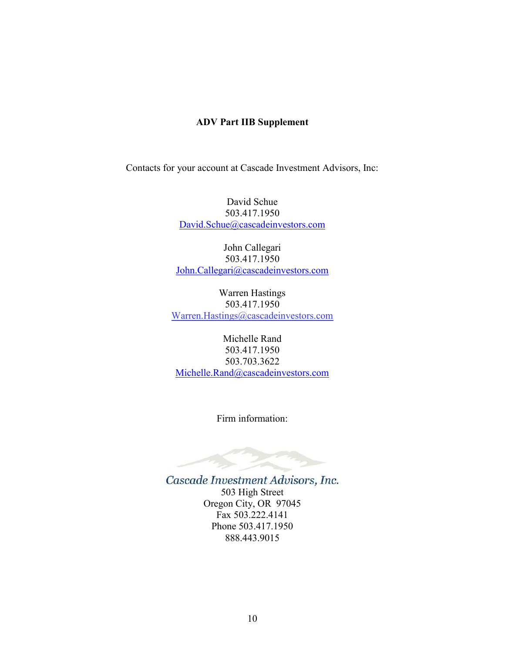# **ADV Part IIB Supplement**

Contacts for your account at Cascade Investment Advisors, Inc:

David Schue 503.417.1950 [David.Schue@cascadeinvestors.com](mailto:David.Schue@cascadeinvestors.com)

John Callegari 503.417.1950 [John.Callegari@cascadeinvestors.com](mailto:John.Callegari@cascadeinvestors.com)

Warren Hastings 503.417.1950 [Warren.Hastings@cascadeinvestors.com](mailto:Warren.Hastings@cascadeinvestors.com)

Michelle Rand 503.417.1950 503.703.3622 [Michelle.Rand@cascadeinvestors.com](mailto:Michelle.Rand@cascadeinvestors.com)

Firm information:

Cascade Investment Advisors, Inc. 503 High Street Oregon City, OR 97045 Fax 503.222.4141 Phone 503.417.1950 888.443.9015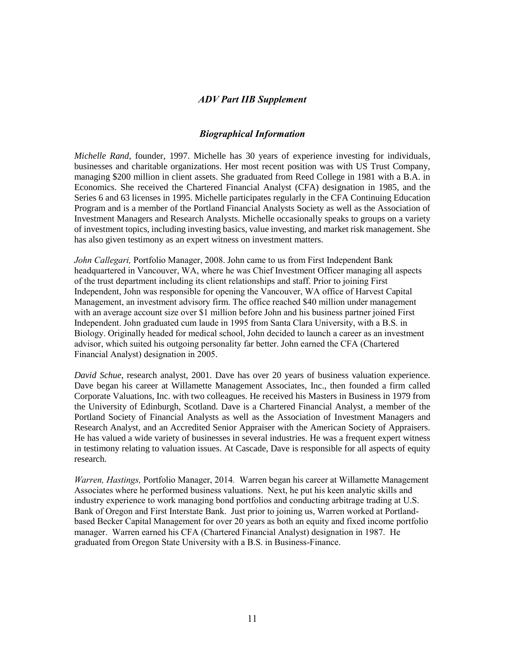### *ADV Part IIB Supplement*

#### *Biographical Information*

*Michelle Rand*, founder, 1997. Michelle has 30 years of experience investing for individuals, businesses and charitable organizations. Her most recent position was with US Trust Company, managing \$200 million in client assets. She graduated from Reed College in 1981 with a B.A. in Economics. She received the Chartered Financial Analyst (CFA) designation in 1985, and the Series 6 and 63 licenses in 1995. Michelle participates regularly in the CFA Continuing Education Program and is a member of the Portland Financial Analysts Society as well as the Association of Investment Managers and Research Analysts. Michelle occasionally speaks to groups on a variety of investment topics, including investing basics, value investing, and market risk management. She has also given testimony as an expert witness on investment matters.

*John Callegari,* Portfolio Manager, 2008. John came to us from First Independent Bank headquartered in Vancouver, WA, where he was Chief Investment Officer managing all aspects of the trust department including its client relationships and staff. Prior to joining First Independent, John was responsible for opening the Vancouver, WA office of Harvest Capital Management, an investment advisory firm. The office reached \$40 million under management with an average account size over \$1 million before John and his business partner joined First Independent. John graduated cum laude in 1995 from Santa Clara University, with a B.S. in Biology. Originally headed for medical school, John decided to launch a career as an investment advisor, which suited his outgoing personality far better. John earned the CFA (Chartered Financial Analyst) designation in 2005.

*David Schue*, research analyst, 2001. Dave has over 20 years of business valuation experience. Dave began his career at Willamette Management Associates, Inc., then founded a firm called Corporate Valuations, Inc. with two colleagues. He received his Masters in Business in 1979 from the University of Edinburgh, Scotland. Dave is a Chartered Financial Analyst, a member of the Portland Society of Financial Analysts as well as the Association of Investment Managers and Research Analyst, and an Accredited Senior Appraiser with the American Society of Appraisers. He has valued a wide variety of businesses in several industries. He was a frequent expert witness in testimony relating to valuation issues. At Cascade, Dave is responsible for all aspects of equity research.

*Warren, Hastings,* Portfolio Manager, 2014*.* Warren began his career at Willamette Management Associates where he performed business valuations. Next, he put his keen analytic skills and industry experience to work managing bond portfolios and conducting arbitrage trading at U.S. Bank of Oregon and First Interstate Bank. Just prior to joining us, Warren worked at Portlandbased Becker Capital Management for over 20 years as both an equity and fixed income portfolio manager. Warren earned his CFA (Chartered Financial Analyst) designation in 1987. He graduated from Oregon State University with a B.S. in Business-Finance.